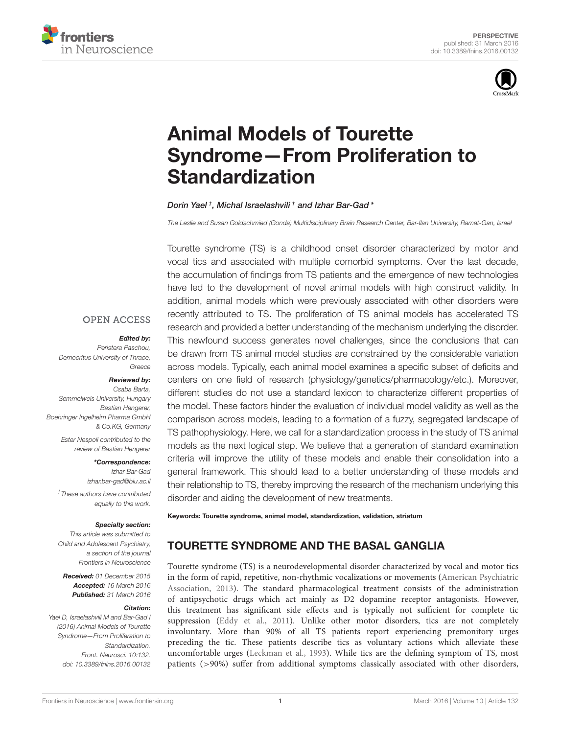



# Animal Models of Tourette [Syndrome—From Proliferation to](http://journal.frontiersin.org/article/10.3389/fnins.2016.00132/abstract) Standardization

#### [Dorin Yael](http://loop.frontiersin.org/people/102426/overview) † , [Michal Israelashvili](http://loop.frontiersin.org/people/314761/overview) † and [Izhar Bar-Gad](http://loop.frontiersin.org/people/6871/overview)\*

*The Leslie and Susan Goldschmied (Gonda) Multidisciplinary Brain Research Center, Bar-Ilan University, Ramat-Gan, Israel*

Tourette syndrome (TS) is a childhood onset disorder characterized by motor and vocal tics and associated with multiple comorbid symptoms. Over the last decade, the accumulation of findings from TS patients and the emergence of new technologies have led to the development of novel animal models with high construct validity. In addition, animal models which were previously associated with other disorders were recently attributed to TS. The proliferation of TS animal models has accelerated TS research and provided a better understanding of the mechanism underlying the disorder. This newfound success generates novel challenges, since the conclusions that can be drawn from TS animal model studies are constrained by the considerable variation across models. Typically, each animal model examines a specific subset of deficits and centers on one field of research (physiology/genetics/pharmacology/etc.). Moreover, different studies do not use a standard lexicon to characterize different properties of the model. These factors hinder the evaluation of individual model validity as well as the comparison across models, leading to a formation of a fuzzy, segregated landscape of TS pathophysiology. Here, we call for a standardization process in the study of TS animal models as the next logical step. We believe that a generation of standard examination criteria will improve the utility of these models and enable their consolidation into a general framework. This should lead to a better understanding of these models and their relationship to TS, thereby improving the research of the mechanism underlying this disorder and aiding the development of new treatments.

Keywords: Tourette syndrome, animal model, standardization, validation, striatum

# TOURETTE SYNDROME AND THE BASAL GANGLIA

Tourette syndrome (TS) is a neurodevelopmental disorder characterized by vocal and motor tics in the form of rapid, repetitive, non-rhythmic vocalizations or movements (American Psychiatric Association, [2013\)](#page-4-0). The standard pharmacological treatment consists of the administration of antipsychotic drugs which act mainly as D2 dopamine receptor antagonists. However, this treatment has significant side effects and is typically not sufficient for complete tic suppression [\(Eddy et al., 2011\)](#page-4-1). Unlike other motor disorders, tics are not completely involuntary. More than 90% of all TS patients report experiencing premonitory urges preceding the tic. These patients describe tics as voluntary actions which alleviate these uncomfortable urges [\(Leckman et al., 1993\)](#page-4-2). While tics are the defining symptom of TS, most patients (>90%) suffer from additional symptoms classically associated with other disorders,

#### **OPEN ACCESS**

#### Edited by:

*Peristera Paschou, Democritus University of Thrace, Greece*

#### Reviewed by:

*Csaba Barta, Semmelweis University, Hungary Bastian Hengerer, Boehringer Ingelheim Pharma GmbH & Co.KG, Germany*

> *Ester Nespoli contributed to the review of Bastian Hengerer*

> > \*Correspondence: *Izhar Bar-Gad [izhar.bar-gad@biu.ac.il](mailto:izhar.bar-gad@biu.ac.il)*

*† These authors have contributed equally to this work.*

#### Specialty section:

*This article was submitted to Child and Adolescent Psychiatry, a section of the journal Frontiers in Neuroscience*

Received: *01 December 2015* Accepted: *16 March 2016* Published: *31 March 2016*

#### Citation:

*Yael D, Israelashvili M and Bar-Gad I (2016) Animal Models of Tourette Syndrome—From Proliferation to Standardization. Front. Neurosci. 10:132. doi: [10.3389/fnins.2016.00132](http://dx.doi.org/10.3389/fnins.2016.00132)*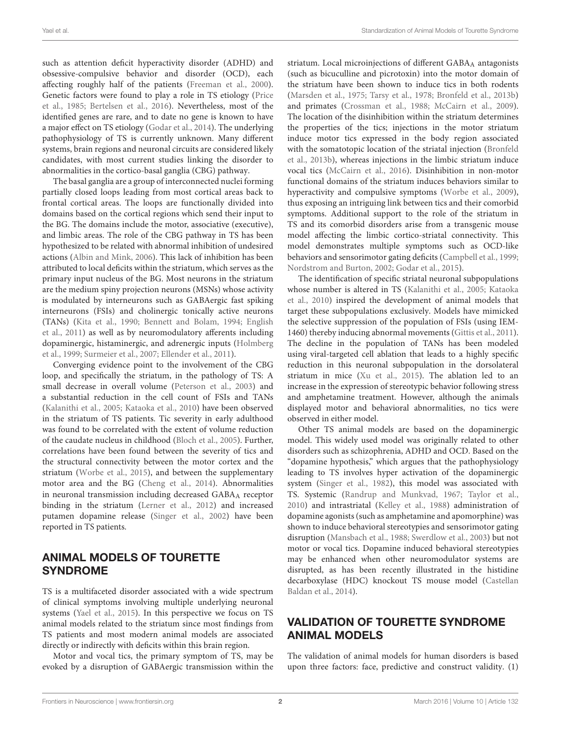such as attention deficit hyperactivity disorder (ADHD) and obsessive-compulsive behavior and disorder (OCD), each affecting roughly half of the patients [\(Freeman et al., 2000\)](#page-4-3). Genetic factors were found to play a role in TS etiology (Price et al., [1985;](#page-5-0) [Bertelsen et al., 2016\)](#page-4-4). Nevertheless, most of the identified genes are rare, and to date no gene is known to have a major effect on TS etiology [\(Godar et al., 2014\)](#page-4-5). The underlying pathophysiology of TS is currently unknown. Many different systems, brain regions and neuronal circuits are considered likely candidates, with most current studies linking the disorder to abnormalities in the cortico-basal ganglia (CBG) pathway.

The basal ganglia are a group of interconnected nuclei forming partially closed loops leading from most cortical areas back to frontal cortical areas. The loops are functionally divided into domains based on the cortical regions which send their input to the BG. The domains include the motor, associative (executive), and limbic areas. The role of the CBG pathway in TS has been hypothesized to be related with abnormal inhibition of undesired actions [\(Albin and Mink, 2006\)](#page-4-6). This lack of inhibition has been attributed to local deficits within the striatum, which serves as the primary input nucleus of the BG. Most neurons in the striatum are the medium spiny projection neurons (MSNs) whose activity is modulated by interneurons such as GABAergic fast spiking interneurons (FSIs) and cholinergic tonically active neurons (TANs) [\(Kita et al., 1990;](#page-4-7) [Bennett and Bolam, 1994;](#page-4-8) English et al., [2011\)](#page-4-9) as well as by neuromodulatory afferents including dopaminergic, histaminergic, and adrenergic inputs (Holmberg et al., [1999;](#page-4-10) [Surmeier et al., 2007;](#page-5-1) [Ellender et al., 2011\)](#page-4-11).

Converging evidence point to the involvement of the CBG loop, and specifically the striatum, in the pathology of TS: A small decrease in overall volume [\(Peterson et al., 2003\)](#page-4-12) and a substantial reduction in the cell count of FSIs and TANs [\(Kalanithi et al., 2005;](#page-4-13) [Kataoka et al., 2010\)](#page-4-14) have been observed in the striatum of TS patients. Tic severity in early adulthood was found to be correlated with the extent of volume reduction of the caudate nucleus in childhood [\(Bloch et al., 2005\)](#page-4-15). Further, correlations have been found between the severity of tics and the structural connectivity between the motor cortex and the striatum [\(Worbe et al., 2015\)](#page-5-2), and between the supplementary motor area and the BG [\(Cheng et al., 2014\)](#page-4-16). Abnormalities in neuronal transmission including decreased GABAA receptor binding in the striatum [\(Lerner et al., 2012\)](#page-4-17) and increased putamen dopamine release [\(Singer et al., 2002\)](#page-5-3) have been reported in TS patients.

### ANIMAL MODELS OF TOURETTE SYNDROME

TS is a multifaceted disorder associated with a wide spectrum of clinical symptoms involving multiple underlying neuronal systems [\(Yael et al., 2015\)](#page-5-4). In this perspective we focus on TS animal models related to the striatum since most findings from TS patients and most modern animal models are associated directly or indirectly with deficits within this brain region.

Motor and vocal tics, the primary symptom of TS, may be evoked by a disruption of GABAergic transmission within the striatum. Local microinjections of different GABAA antagonists (such as bicuculline and picrotoxin) into the motor domain of the striatum have been shown to induce tics in both rodents [\(Marsden et al., 1975;](#page-4-18) [Tarsy et al., 1978;](#page-5-5) [Bronfeld et al., 2013b\)](#page-4-19) and primates [\(Crossman et al., 1988;](#page-4-20) [McCairn et al., 2009\)](#page-4-21). The location of the disinhibition within the striatum determines the properties of the tics; injections in the motor striatum induce motor tics expressed in the body region associated with the somatotopic location of the striatal injection (Bronfeld et al., [2013b\)](#page-4-19), whereas injections in the limbic striatum induce vocal tics [\(McCairn et al., 2016\)](#page-4-22). Disinhibition in non-motor functional domains of the striatum induces behaviors similar to hyperactivity and compulsive symptoms [\(Worbe et al., 2009\)](#page-5-6), thus exposing an intriguing link between tics and their comorbid symptoms. Additional support to the role of the striatum in TS and its comorbid disorders arise from a transgenic mouse model affecting the limbic cortico-striatal connectivity. This model demonstrates multiple symptoms such as OCD-like behaviors and sensorimotor gating deficits [\(Campbell et al., 1999;](#page-4-23) [Nordstrom and Burton, 2002;](#page-4-24) [Godar et al., 2015\)](#page-4-25).

The identification of specific striatal neuronal subpopulations whose number is altered in TS [\(Kalanithi et al., 2005;](#page-4-13) Kataoka et al., [2010\)](#page-4-14) inspired the development of animal models that target these subpopulations exclusively. Models have mimicked the selective suppression of the population of FSIs (using IEM-1460) thereby inducing abnormal movements [\(Gittis et al., 2011\)](#page-4-26). The decline in the population of TANs has been modeled using viral-targeted cell ablation that leads to a highly specific reduction in this neuronal subpopulation in the dorsolateral striatum in mice [\(Xu et al., 2015\)](#page-5-7). The ablation led to an increase in the expression of stereotypic behavior following stress and amphetamine treatment. However, although the animals displayed motor and behavioral abnormalities, no tics were observed in either model.

Other TS animal models are based on the dopaminergic model. This widely used model was originally related to other disorders such as schizophrenia, ADHD and OCD. Based on the "dopamine hypothesis," which argues that the pathophysiology leading to TS involves hyper activation of the dopaminergic system [\(Singer et al., 1982\)](#page-5-8), this model was associated with TS. Systemic [\(Randrup and Munkvad, 1967;](#page-5-9) [Taylor et al.,](#page-5-10) [2010\)](#page-5-10) and intrastriatal [\(Kelley et al., 1988\)](#page-4-27) administration of dopamine agonists (such as amphetamine and apomorphine) was shown to induce behavioral stereotypies and sensorimotor gating disruption [\(Mansbach et al., 1988;](#page-4-28) [Swerdlow et al., 2003\)](#page-5-11) but not motor or vocal tics. Dopamine induced behavioral stereotypies may be enhanced when other neuromodulator systems are disrupted, as has been recently illustrated in the histidine decarboxylase (HDC) knockout TS mouse model (Castellan Baldan et al., [2014\)](#page-4-29).

### VALIDATION OF TOURETTE SYNDROME ANIMAL MODELS

The validation of animal models for human disorders is based upon three factors: face, predictive and construct validity. (1)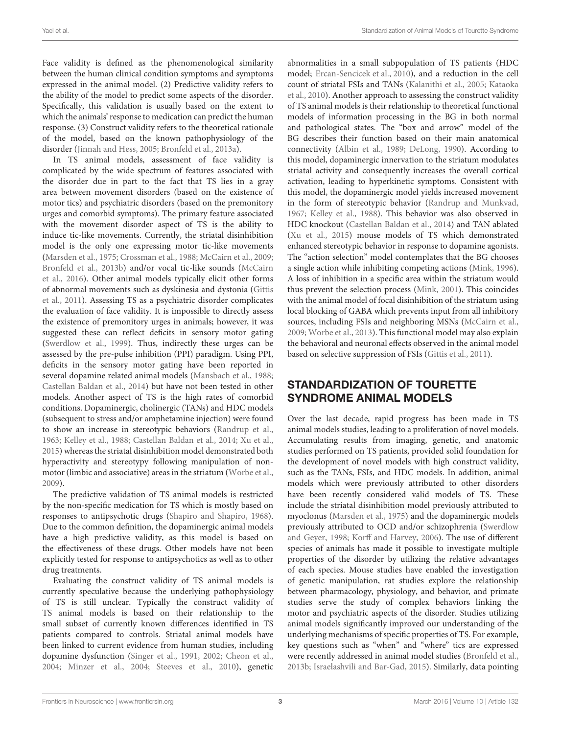Face validity is defined as the phenomenological similarity between the human clinical condition symptoms and symptoms expressed in the animal model. (2) Predictive validity refers to the ability of the model to predict some aspects of the disorder. Specifically, this validation is usually based on the extent to which the animals' response to medication can predict the human response. (3) Construct validity refers to the theoretical rationale of the model, based on the known pathophysiology of the disorder [\(Jinnah and Hess, 2005;](#page-4-30) [Bronfeld et al., 2013a\)](#page-4-31).

In TS animal models, assessment of face validity is complicated by the wide spectrum of features associated with the disorder due in part to the fact that TS lies in a gray area between movement disorders (based on the existence of motor tics) and psychiatric disorders (based on the premonitory urges and comorbid symptoms). The primary feature associated with the movement disorder aspect of TS is the ability to induce tic-like movements. Currently, the striatal disinhibition model is the only one expressing motor tic-like movements [\(Marsden et al., 1975;](#page-4-18) [Crossman et al., 1988;](#page-4-20) [McCairn et al., 2009;](#page-4-21) [Bronfeld et al., 2013b\)](#page-4-19) and/or vocal tic-like sounds (McCairn et al., [2016\)](#page-4-22). Other animal models typically elicit other forms of abnormal movements such as dyskinesia and dystonia (Gittis et al., [2011\)](#page-4-26). Assessing TS as a psychiatric disorder complicates the evaluation of face validity. It is impossible to directly assess the existence of premonitory urges in animals; however, it was suggested these can reflect deficits in sensory motor gating [\(Swerdlow et al., 1999\)](#page-5-12). Thus, indirectly these urges can be assessed by the pre-pulse inhibition (PPI) paradigm. Using PPI, deficits in the sensory motor gating have been reported in several dopamine related animal models [\(Mansbach et al., 1988;](#page-4-28) [Castellan Baldan et al., 2014\)](#page-4-29) but have not been tested in other models. Another aspect of TS is the high rates of comorbid conditions. Dopaminergic, cholinergic (TANs) and HDC models (subsequent to stress and/or amphetamine injection) were found to show an increase in stereotypic behaviors [\(Randrup et al.,](#page-5-13) [1963;](#page-5-13) [Kelley et al., 1988;](#page-4-27) [Castellan Baldan et al., 2014;](#page-4-29) [Xu et al.,](#page-5-7) [2015\)](#page-5-7) whereas the striatal disinhibition model demonstrated both hyperactivity and stereotypy following manipulation of nonmotor (limbic and associative) areas in the striatum [\(Worbe et al.,](#page-5-6) [2009\)](#page-5-6).

The predictive validation of TS animal models is restricted by the non-specific medication for TS which is mostly based on responses to antipsychotic drugs [\(Shapiro and Shapiro, 1968\)](#page-5-14). Due to the common definition, the dopaminergic animal models have a high predictive validity, as this model is based on the effectiveness of these drugs. Other models have not been explicitly tested for response to antipsychotics as well as to other drug treatments.

Evaluating the construct validity of TS animal models is currently speculative because the underlying pathophysiology of TS is still unclear. Typically the construct validity of TS animal models is based on their relationship to the small subset of currently known differences identified in TS patients compared to controls. Striatal animal models have been linked to current evidence from human studies, including dopamine dysfunction [\(Singer et al., 1991,](#page-5-15) [2002;](#page-5-3) [Cheon et al.,](#page-4-32) [2004;](#page-4-32) [Minzer et al., 2004;](#page-4-33) [Steeves et al., 2010\)](#page-5-16), genetic abnormalities in a small subpopulation of TS patients (HDC model; [Ercan-Sencicek et al., 2010\)](#page-4-34), and a reduction in the cell count of striatal FSIs and TANs [\(Kalanithi et al., 2005;](#page-4-13) Kataoka et al., [2010\)](#page-4-14). Another approach to assessing the construct validity of TS animal models is their relationship to theoretical functional models of information processing in the BG in both normal and pathological states. The "box and arrow" model of the BG describes their function based on their main anatomical connectivity [\(Albin et al., 1989;](#page-4-35) [DeLong, 1990\)](#page-4-36). According to this model, dopaminergic innervation to the striatum modulates striatal activity and consequently increases the overall cortical activation, leading to hyperkinetic symptoms. Consistent with this model, the dopaminergic model yields increased movement in the form of stereotypic behavior [\(Randrup and Munkvad,](#page-5-9) [1967;](#page-5-9) [Kelley et al., 1988\)](#page-4-27). This behavior was also observed in HDC knockout [\(Castellan Baldan et al., 2014\)](#page-4-29) and TAN ablated [\(Xu et al., 2015\)](#page-5-7) mouse models of TS which demonstrated enhanced stereotypic behavior in response to dopamine agonists. The "action selection" model contemplates that the BG chooses a single action while inhibiting competing actions [\(Mink, 1996\)](#page-4-37). A loss of inhibition in a specific area within the striatum would thus prevent the selection process [\(Mink, 2001\)](#page-4-38). This coincides with the animal model of focal disinhibition of the striatum using local blocking of GABA which prevents input from all inhibitory sources, including FSIs and neighboring MSNs [\(McCairn et al.,](#page-4-21) [2009;](#page-4-21) [Worbe et al., 2013\)](#page-5-17). This functional model may also explain the behavioral and neuronal effects observed in the animal model based on selective suppression of FSIs [\(Gittis et al., 2011\)](#page-4-26).

# STANDARDIZATION OF TOURETTE SYNDROME ANIMAL MODELS

Over the last decade, rapid progress has been made in TS animal models studies, leading to a proliferation of novel models. Accumulating results from imaging, genetic, and anatomic studies performed on TS patients, provided solid foundation for the development of novel models with high construct validity, such as the TANs, FSIs, and HDC models. In addition, animal models which were previously attributed to other disorders have been recently considered valid models of TS. These include the striatal disinhibition model previously attributed to myoclonus [\(Marsden et al., 1975\)](#page-4-18) and the dopaminergic models previously attributed to OCD and/or schizophrenia (Swerdlow and Geyer, [1998;](#page-5-18) [Korff and Harvey, 2006\)](#page-4-39). The use of different species of animals has made it possible to investigate multiple properties of the disorder by utilizing the relative advantages of each species. Mouse studies have enabled the investigation of genetic manipulation, rat studies explore the relationship between pharmacology, physiology, and behavior, and primate studies serve the study of complex behaviors linking the motor and psychiatric aspects of the disorder. Studies utilizing animal models significantly improved our understanding of the underlying mechanisms of specific properties of TS. For example, key questions such as "when" and "where" tics are expressed were recently addressed in animal model studies [\(Bronfeld et al.,](#page-4-19) [2013b;](#page-4-19) [Israelashvili and Bar-Gad, 2015\)](#page-4-40). Similarly, data pointing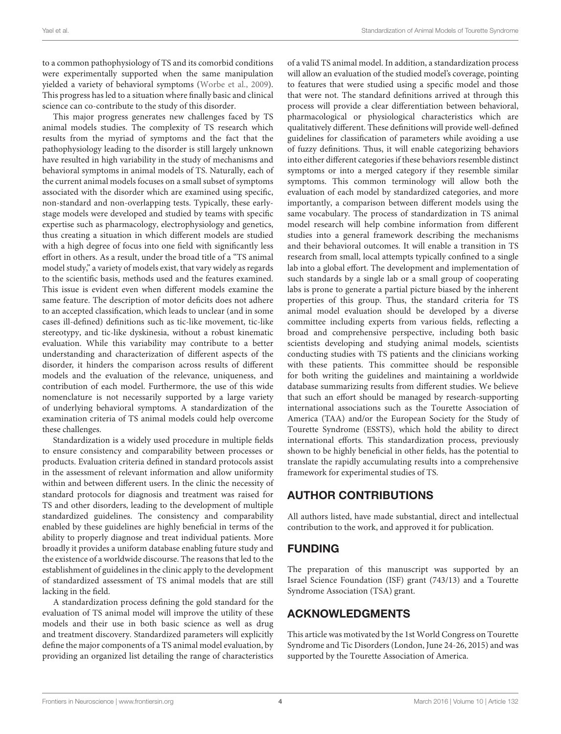to a common pathophysiology of TS and its comorbid conditions were experimentally supported when the same manipulation yielded a variety of behavioral symptoms [\(Worbe et al., 2009\)](#page-5-6). This progress has led to a situation where finally basic and clinical science can co-contribute to the study of this disorder.

This major progress generates new challenges faced by TS animal models studies. The complexity of TS research which results from the myriad of symptoms and the fact that the pathophysiology leading to the disorder is still largely unknown have resulted in high variability in the study of mechanisms and behavioral symptoms in animal models of TS. Naturally, each of the current animal models focuses on a small subset of symptoms associated with the disorder which are examined using specific, non-standard and non-overlapping tests. Typically, these earlystage models were developed and studied by teams with specific expertise such as pharmacology, electrophysiology and genetics, thus creating a situation in which different models are studied with a high degree of focus into one field with significantly less effort in others. As a result, under the broad title of a "TS animal model study," a variety of models exist, that vary widely as regards to the scientific basis, methods used and the features examined. This issue is evident even when different models examine the same feature. The description of motor deficits does not adhere to an accepted classification, which leads to unclear (and in some cases ill-defined) definitions such as tic-like movement, tic-like stereotypy, and tic-like dyskinesia, without a robust kinematic evaluation. While this variability may contribute to a better understanding and characterization of different aspects of the disorder, it hinders the comparison across results of different models and the evaluation of the relevance, uniqueness, and contribution of each model. Furthermore, the use of this wide nomenclature is not necessarily supported by a large variety of underlying behavioral symptoms. A standardization of the examination criteria of TS animal models could help overcome these challenges.

Standardization is a widely used procedure in multiple fields to ensure consistency and comparability between processes or products. Evaluation criteria defined in standard protocols assist in the assessment of relevant information and allow uniformity within and between different users. In the clinic the necessity of standard protocols for diagnosis and treatment was raised for TS and other disorders, leading to the development of multiple standardized guidelines. The consistency and comparability enabled by these guidelines are highly beneficial in terms of the ability to properly diagnose and treat individual patients. More broadly it provides a uniform database enabling future study and the existence of a worldwide discourse. The reasons that led to the establishment of guidelines in the clinic apply to the development of standardized assessment of TS animal models that are still lacking in the field.

A standardization process defining the gold standard for the evaluation of TS animal model will improve the utility of these models and their use in both basic science as well as drug and treatment discovery. Standardized parameters will explicitly define the major components of a TS animal model evaluation, by providing an organized list detailing the range of characteristics

of a valid TS animal model. In addition, a standardization process will allow an evaluation of the studied model's coverage, pointing to features that were studied using a specific model and those that were not. The standard definitions arrived at through this process will provide a clear differentiation between behavioral, pharmacological or physiological characteristics which are qualitatively different. These definitions will provide well-defined guidelines for classification of parameters while avoiding a use of fuzzy definitions. Thus, it will enable categorizing behaviors into either different categories if these behaviors resemble distinct symptoms or into a merged category if they resemble similar symptoms. This common terminology will allow both the evaluation of each model by standardized categories, and more importantly, a comparison between different models using the same vocabulary. The process of standardization in TS animal model research will help combine information from different studies into a general framework describing the mechanisms and their behavioral outcomes. It will enable a transition in TS research from small, local attempts typically confined to a single lab into a global effort. The development and implementation of such standards by a single lab or a small group of cooperating labs is prone to generate a partial picture biased by the inherent properties of this group. Thus, the standard criteria for TS animal model evaluation should be developed by a diverse committee including experts from various fields, reflecting a broad and comprehensive perspective, including both basic scientists developing and studying animal models, scientists conducting studies with TS patients and the clinicians working with these patients. This committee should be responsible for both writing the guidelines and maintaining a worldwide database summarizing results from different studies. We believe that such an effort should be managed by research-supporting international associations such as the Tourette Association of America (TAA) and/or the European Society for the Study of Tourette Syndrome (ESSTS), which hold the ability to direct international efforts. This standardization process, previously shown to be highly beneficial in other fields, has the potential to translate the rapidly accumulating results into a comprehensive framework for experimental studies of TS.

# AUTHOR CONTRIBUTIONS

All authors listed, have made substantial, direct and intellectual contribution to the work, and approved it for publication.

# FUNDING

The preparation of this manuscript was supported by an Israel Science Foundation (ISF) grant (743/13) and a Tourette Syndrome Association (TSA) grant.

# ACKNOWLEDGMENTS

This article was motivated by the 1st World Congress on Tourette Syndrome and Tic Disorders (London, June 24-26, 2015) and was supported by the Tourette Association of America.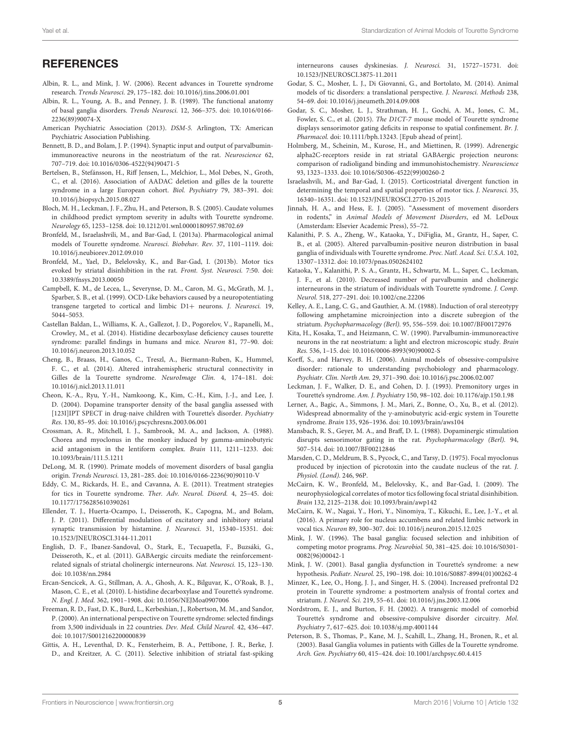#### **REFERENCES**

- <span id="page-4-6"></span>Albin, R. L., and Mink, J. W. (2006). Recent advances in Tourette syndrome research. Trends Neurosci. 29, 175–182. doi: 10.1016/j.tins.2006.01.001
- <span id="page-4-35"></span>Albin, R. L., Young, A. B., and Penney, J. B. (1989). The functional anatomy of basal ganglia disorders. Trends Neurosci. 12, 366–375. doi: 10.1016/0166- 2236(89)90074-X
- <span id="page-4-0"></span>American Psychiatric Association (2013). DSM-5. Arlington, TX: American Psychiatric Association Publishing.
- <span id="page-4-8"></span>Bennett, B. D., and Bolam, J. P. (1994). Synaptic input and output of parvalbuminimmunoreactive neurons in the neostriatum of the rat. Neuroscience 62, 707–719. doi: 10.1016/0306-4522(94)90471-5
- <span id="page-4-4"></span>Bertelsen, B., Stefánsson, H., Riff Jensen, L., Melchior, L., Mol Debes, N., Groth, C., et al. (2016). Association of AADAC deletion and gilles de la tourette syndrome in a large European cohort. Biol. Psychiatry 79, 383–391. doi: 10.1016/j.biopsych.2015.08.027
- <span id="page-4-15"></span>Bloch, M. H., Leckman, J. F., Zhu, H., and Peterson, B. S. (2005). Caudate volumes in childhood predict symptom severity in adults with Tourette syndrome. Neurology 65, 1253–1258. doi: 10.1212/01.wnl.0000180957.98702.69
- <span id="page-4-31"></span>Bronfeld, M., Israelashvili, M., and Bar-Gad, I. (2013a). Pharmacological animal models of Tourette syndrome. Neurosci. Biobehav. Rev. 37, 1101–1119. doi: 10.1016/j.neubiorev.2012.09.010
- <span id="page-4-19"></span>Bronfeld, M., Yael, D., Belelovsky, K., and Bar-Gad, I. (2013b). Motor tics evoked by striatal disinhibition in the rat. Front. Syst. Neurosci. 7:50. doi: 10.3389/fnsys.2013.00050
- <span id="page-4-23"></span>Campbell, K. M., de Lecea, L., Severynse, D. M., Caron, M. G., McGrath, M. J., Sparber, S. B., et al. (1999). OCD-Like behaviors caused by a neuropotentiating transgene targeted to cortical and limbic D1+ neurons. J. Neurosci. 19, 5044–5053.
- <span id="page-4-29"></span>Castellan Baldan, L., Williams, K. A., Gallezot, J. D., Pogorelov, V., Rapanelli, M., Crowley, M., et al. (2014). Histidine decarboxylase deficiency causes tourette syndrome: parallel findings in humans and mice. Neuron 81, 77–90. doi: 10.1016/j.neuron.2013.10.052
- <span id="page-4-16"></span>Cheng, B., Braass, H., Ganos, C., Treszl, A., Biermann-Ruben, K., Hummel, F. C., et al. (2014). Altered intrahemispheric structural connectivity in Gilles de la Tourette syndrome. NeuroImage Clin. 4, 174–181. doi: 10.1016/j.nicl.2013.11.011
- <span id="page-4-32"></span>Cheon, K.-A., Ryu, Y.-H., Namkoong, K., Kim, C.-H., Kim, J.-J., and Lee, J. D. (2004). Dopamine transporter density of the basal ganglia assessed with [123I]IPT SPECT in drug-naive children with Tourette's disorder. Psychiatry Res. 130, 85–95. doi: 10.1016/j.pscychresns.2003.06.001
- <span id="page-4-20"></span>Crossman, A. R., Mitchell, I. J., Sambrook, M. A., and Jackson, A. (1988). Chorea and myoclonus in the monkey induced by gamma-aminobutyric acid antagonism in the lentiform complex. Brain 111, 1211–1233. doi: 10.1093/brain/111.5.1211
- <span id="page-4-36"></span>DeLong, M. R. (1990). Primate models of movement disorders of basal ganglia origin. Trends Neurosci. 13, 281–285. doi: 10.1016/0166-2236(90)90110-V
- <span id="page-4-1"></span>Eddy, C. M., Rickards, H. E., and Cavanna, A. E. (2011). Treatment strategies for tics in Tourette syndrome. Ther. Adv. Neurol. Disord. 4, 25–45. doi: 10.1177/1756285610390261
- <span id="page-4-11"></span>Ellender, T. J., Huerta-Ocampo, I., Deisseroth, K., Capogna, M., and Bolam, J. P. (2011). Differential modulation of excitatory and inhibitory striatal synaptic transmission by histamine. J. Neurosci. 31, 15340–15351. doi: 10.1523/JNEUROSCI.3144-11.2011
- <span id="page-4-9"></span>English, D. F., Ibanez-Sandoval, O., Stark, E., Tecuapetla, F., Buzsáki, G., Deisseroth, K., et al. (2011). GABAergic circuits mediate the reinforcementrelated signals of striatal cholinergic interneurons. Nat. Neurosci. 15, 123–130. doi: 10.1038/nn.2984
- <span id="page-4-34"></span>Ercan-Sencicek, A. G., Stillman, A. A., Ghosh, A. K., Bilguvar, K., O'Roak, B. J., Mason, C. E., et al. (2010). L-histidine decarboxylase and Tourette's syndrome. N. Engl. J. Med. 362, 1901–1908. doi: 10.1056/NEJMoa0907006
- <span id="page-4-3"></span>Freeman, R. D., Fast, D. K., Burd, L., Kerbeshian, J., Robertson, M. M., and Sandor, P. (2000). An international perspective on Tourette syndrome: selected findings from 3,500 individuals in 22 countries. Dev. Med. Child Neurol. 42, 436–447. doi: 10.1017/S0012162200000839
- <span id="page-4-26"></span>Gittis, A. H., Leventhal, D. K., Fensterheim, B. A., Pettibone, J. R., Berke, J. D., and Kreitzer, A. C. (2011). Selective inhibition of striatal fast-spiking

interneurons causes dyskinesias. J. Neurosci. 31, 15727–15731. doi: 10.1523/JNEUROSCI.3875-11.2011

- <span id="page-4-5"></span>Godar, S. C., Mosher, L. J., Di Giovanni, G., and Bortolato, M. (2014). Animal models of tic disorders: a translational perspective. J. Neurosci. Methods 238, 54–69. doi: 10.1016/j.jneumeth.2014.09.008
- <span id="page-4-25"></span>Godar, S. C., Mosher, L. J., Strathman, H. J., Gochi, A. M., Jones, C. M., Fowler, S. C., et al. (2015). The D1CT-7 mouse model of Tourette syndrome displays sensorimotor gating deficits in response to spatial confinement. Br. J. Pharmacol. doi: 10.1111/bph.13243. [Epub ahead of print].
- <span id="page-4-10"></span>Holmberg, M., Scheinin, M., Kurose, H., and Miettinen, R. (1999). Adrenergic alpha2C-receptors reside in rat striatal GABAergic projection neurons: comparison of radioligand binding and immunohistochemistry. Neuroscience 93, 1323–1333. doi: 10.1016/S0306-4522(99)00260-2
- <span id="page-4-40"></span>Israelashvili, M., and Bar-Gad, I. (2015). Corticostriatal divergent function in determining the temporal and spatial properties of motor tics. J. Neurosci. 35, 16340–16351. doi: 10.1523/JNEUROSCI.2770-15.2015
- <span id="page-4-30"></span>Jinnah, H. A., and Hess, E. J. (2005). "Assessment of movement disorders in rodents," in Animal Models of Movement Disorders, ed M. LeDoux (Amsterdam: Elsevier Academic Press), 55–72.
- <span id="page-4-13"></span>Kalanithi, P. S. A., Zheng, W., Kataoka, Y., DiFiglia, M., Grantz, H., Saper, C. B., et al. (2005). Altered parvalbumin-positive neuron distribution in basal ganglia of individuals with Tourette syndrome. Proc. Natl. Acad. Sci. U.S.A. 102, 13307–13312. doi: 10.1073/pnas.0502624102
- <span id="page-4-14"></span>Kataoka, Y., Kalanithi, P. S. A., Grantz, H., Schwartz, M. L., Saper, C., Leckman, J. F., et al. (2010). Decreased number of parvalbumin and cholinergic interneurons in the striatum of individuals with Tourette syndrome. J. Comp. Neurol. 518, 277–291. doi: 10.1002/cne.22206
- <span id="page-4-27"></span>Kelley, A. E., Lang, C. G., and Gauthier, A. M. (1988). Induction of oral stereotypy following amphetamine microinjection into a discrete subregion of the striatum. Psychopharmacology (Berl). 95, 556–559. doi: 10.1007/BF00172976
- <span id="page-4-7"></span>Kita, H., Kosaka, T., and Heizmann, C. W. (1990). Parvalbumin-immunoreactive neurons in the rat neostriatum: a light and electron microscopic study. Brain Res. 536, 1–15. doi: 10.1016/0006-8993(90)90002-S
- <span id="page-4-39"></span>Korff, S., and Harvey, B. H. (2006). Animal models of obsessive-compulsive disorder: rationale to understanding psychobiology and pharmacology. Psychiatr. Clin. North Am. 29, 371–390. doi: 10.1016/j.psc.2006.02.007
- <span id="page-4-2"></span>Leckman, J. F., Walker, D. E., and Cohen, D. J. (1993). Premonitory urges in Tourette's syndrome. Am. J. Psychiatry 150, 98–102. doi: 10.1176/ajp.150.1.98
- <span id="page-4-17"></span>Lerner, A., Bagic, A., Simmons, J. M., Mari, Z., Bonne, O., Xu, B., et al. (2012). Widespread abnormality of the γ-aminobutyric acid-ergic system in Tourette syndrome. Brain 135, 926–1936. doi: 10.1093/brain/aws104
- <span id="page-4-28"></span>Mansbach, R. S., Geyer, M. A., and Braff, D. L. (1988). Dopaminergic stimulation disrupts sensorimotor gating in the rat. Psychopharmacology (Berl). 94, 507–514. doi: 10.1007/BF00212846
- <span id="page-4-18"></span>Marsden, C. D., Meldrum, B. S., Pycock, C., and Tarsy, D. (1975). Focal myoclonus produced by injection of picrotoxin into the caudate nucleus of the rat. J. Physiol. (Lond). 246, 96P.
- <span id="page-4-21"></span>McCairn, K. W., Bronfeld, M., Belelovsky, K., and Bar-Gad, I. (2009). The neurophysiological correlates of motor tics following focal striatal disinhibition. Brain 132, 2125–2138. doi: 10.1093/brain/awp142
- <span id="page-4-22"></span>McCairn, K. W., Nagai, Y., Hori, Y., Ninomiya, T., Kikuchi, E., Lee, J.-Y., et al. (2016). A primary role for nucleus accumbens and related limbic network in vocal tics. Neuron 89, 300–307. doi: 10.1016/j.neuron.2015.12.025
- <span id="page-4-37"></span>Mink, J. W. (1996). The basal ganglia: focused selection and inhibition of competing motor programs. Prog. Neurobiol. 50, 381–425. doi: 10.1016/S0301- 0082(96)00042-1
- <span id="page-4-38"></span>Mink, J. W. (2001). Basal ganglia dysfunction in Tourette's syndrome: a new hypothesis. Pediatr. Neurol. 25, 190–198. doi: 10.1016/S0887-8994(01)00262-4
- <span id="page-4-33"></span>Minzer, K., Lee, O., Hong, J. J., and Singer, H. S. (2004). Increased prefrontal D2 protein in Tourette syndrome: a postmortem analysis of frontal cortex and striatum. J. Neurol. Sci. 219, 55–61. doi: 10.1016/j.jns.2003.12.006
- <span id="page-4-24"></span>Nordstrom, E. J., and Burton, F. H. (2002). A transgenic model of comorbid Tourette's syndrome and obsessive-compulsive disorder circuitry. Mol. Psychiatry 7, 617–625. doi: 10.1038/sj.mp.4001144
- <span id="page-4-12"></span>Peterson, B. S., Thomas, P., Kane, M. J., Scahill, L., Zhang, H., Bronen, R., et al. (2003). Basal Ganglia volumes in patients with Gilles de la Tourette syndrome. Arch. Gen. Psychiatry 60, 415–424. doi: 10.1001/archpsyc.60.4.415